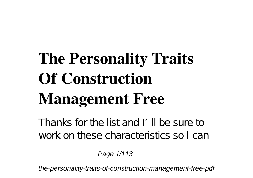## **The Personality Traits Of Construction Management Free**

Thanks for the list and I'll be sure to work on these characteristics so I can

Page  $1/113$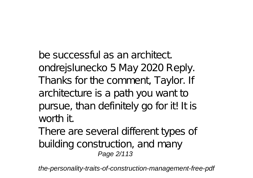be successful as an architect. ondrejslunecko 5 May 2020 Reply. Thanks for the comment, Taylor. If architecture is a path you want to pursue, than definitely go for it! It is worth it.

There are several different types of building construction, and many Page 2/113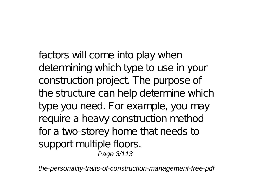factors will come into play when determining which type to use in your construction project. The purpose of the structure can help determine which type you need. For example, you may require a heavy construction method for a two-storey home that needs to support multiple floors. Page 3/113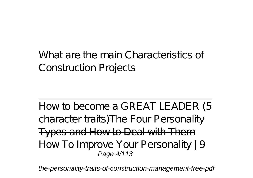## *What are the main Characteristics of Construction Projects*

How to become a GREAT LEADER (5 character traits) The Four Personality Types and How to Deal with Them *How To Improve Your Personality | 9* Page 4/113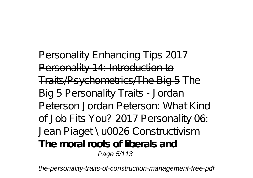*Personality Enhancing Tips* 2017 Personality 14: Introduction to Traits/Psychometrics/The Big 5 *The Big 5 Personality Traits - Jordan Peterson* Jordan Peterson: What Kind of Job Fits You? *2017 Personality 06: Jean Piaget \u0026 Constructivism* **The moral roots of liberals and** Page 5/113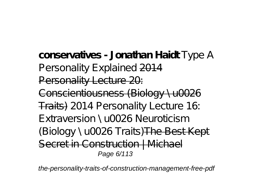**conservatives - Jonathan Haidt** *Type A Personality Explained* 2014 Personality Lecture 20: Conscientiousness (Biology \u0026 Traits) *2014 Personality Lecture 16: Extraversion \u0026 Neuroticism (Biology \u0026 Traits)*The Best Kept Secret in Construction | Michael Page 6/113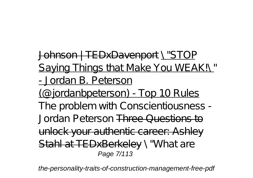Johnson | TEDxDavenport \"STOP Saying Things that Make You WEAK!\" - Jordan B. Peterson (@jordanbpeterson) - Top 10 Rules *The problem with Conscientiousness - Jordan Peterson* Three Questions to unlock your authentic career: Ashley Stahl at TEDxBerkeley \"What are Page 7/113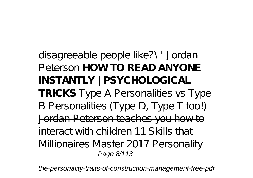disagreeable people like?\" Jordan Peterson **HOW TO READ ANYONE INSTANTLY | PSYCHOLOGICAL TRICKS** *Type A Personalities vs Type B Personalities (Type D, Type T too!)* Jordan Peterson teaches you how to interact with children 11 Skills that Millionaires Master 2017 Personality Page 8/113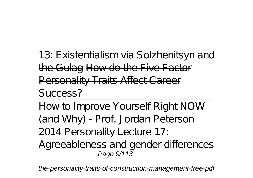13: Existentialism via Solzhenitsyn the Gulag How do the Five Factor Personality Traits Affect Career Success?

How to Improve Yourself Right NOW (and Why) - Prof. Jordan Peterson *2014 Personality Lecture 17: Agreeableness and gender differences* Page 9/113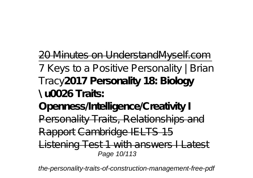20 Minutes on UnderstandMyself.com

7 Keys to a Positive Personality | Brian Tracy**2017 Personality 18: Biology \u0026 Traits: Openness/Intelligence/Creativity I** Personality Traits, Relationships and Rapport Cambridge IELTS 15 Listening Test 1 with answers I Latest Page 10/113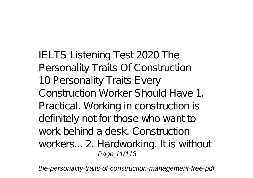IELTS Listening Test 2020 *The Personality Traits Of Construction* 10 Personality Traits Every Construction Worker Should Have 1. Practical. Working in construction is definitely not for those who want to work behind a desk. Construction workers... 2. Hardworking. It is without Page 11/113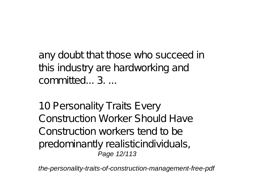any doubt that those who succeed in this industry are hardworking and committed... 3. ...

*10 Personality Traits Every Construction Worker Should Have* Construction workers tend to be predominantly realisticindividuals, Page 12/113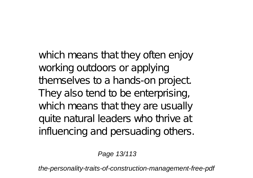which means that they often enjoy working outdoors or applying themselves to a hands-on project. They also tend to be enterprising, which means that they are usually quite natural leaders who thrive at influencing and persuading others.

Page 13/113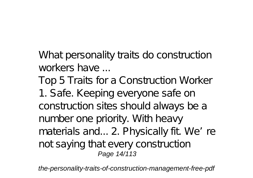*What personality traits do construction workers have ...*

Top 5 Traits for a Construction Worker 1. Safe. Keeping everyone safe on construction sites should always be a number one priority. With heavy materials and... 2. Physically fit. We're not saying that every construction Page 14/113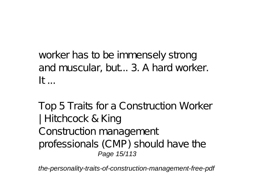worker has to be immensely strong and muscular, but... 3. A hard worker.  $It...$ 

*Top 5 Traits for a Construction Worker | Hitchcock & King* Construction management professionals (CMP) should have the Page 15/113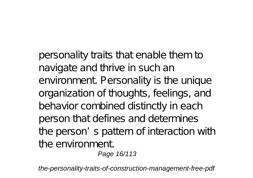personality traits that enable them to navigate and thrive in such an environment. Personality is the unique organization of thoughts, feelings, and behavior combined distinctly in each person that defines and determines the person's pattern of interaction with the environment.

Page 16/113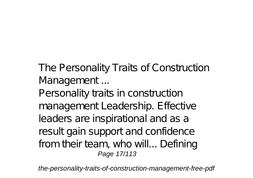*The Personality Traits of Construction Management ...*

Personality traits in construction management Leadership. Effective leaders are inspirational and as a result gain support and confidence from their team, who will... Defining Page 17/113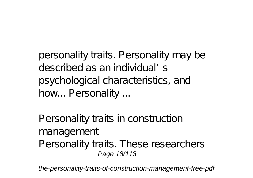personality traits. Personality may be described as an individual's psychological characteristics, and how... Personality ...

*Personality traits in construction management* Personality traits. These researchers Page 18/113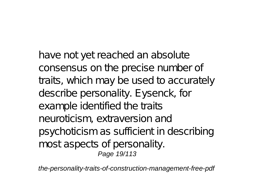have not yet reached an absolute consensus on the precise number of traits, which may be used to accurately describe personality. Eysenck, for example identified the traits neuroticism, extraversion and psychoticism as sufficient in describing most aspects of personality. Page 19/113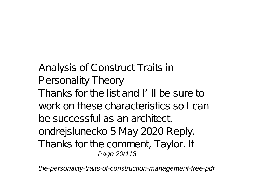*Analysis of Construct Traits in Personality Theory* Thanks for the list and I'll be sure to work on these characteristics so I can be successful as an architect. ondrejslunecko 5 May 2020 Reply. Thanks for the comment, Taylor. If Page 20/113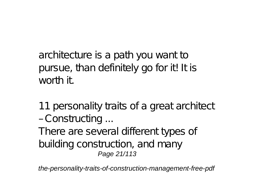architecture is a path you want to pursue, than definitely go for it! It is worth it

*11 personality traits of a great architect – Constructing ...*

There are several different types of building construction, and many Page 21/113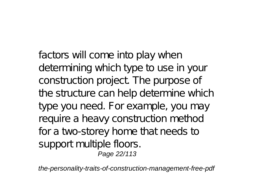factors will come into play when determining which type to use in your construction project. The purpose of the structure can help determine which type you need. For example, you may require a heavy construction method for a two-storey home that needs to support multiple floors. Page 22/113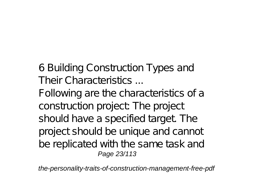*6 Building Construction Types and Their Characteristics ...*

Following are the characteristics of a construction project: The project should have a specified target. The project should be unique and cannot be replicated with the same task and Page 23/113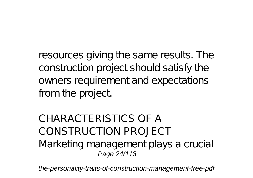resources giving the same results. The construction project should satisfy the owners requirement and expectations from the project.

*CHARACTERISTICS OF A CONSTRUCTION PROJECT* Marketing management plays a crucial Page 24/113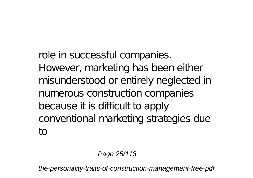role in successful companies. However, marketing has been either misunderstood or entirely neglected in numerous construction companies because it is difficult to apply conventional marketing strategies due to

Page 25/113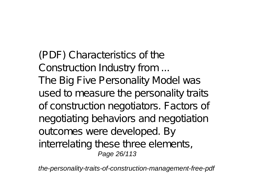*(PDF) Characteristics of the Construction Industry from ...* The Big Five Personality Model was used to measure the personality traits of construction negotiators. Factors of negotiating behaviors and negotiation outcomes were developed. By interrelating these three elements, Page 26/113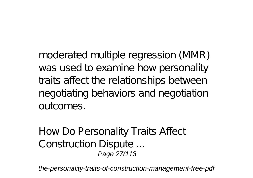moderated multiple regression (MMR) was used to examine how personality traits affect the relationships between negotiating behaviors and negotiation outcomes.

*How Do Personality Traits Affect Construction Dispute ...* Page 27/113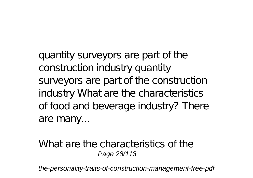quantity surveyors are part of the construction industry quantity surveyors are part of the construction industry What are the characteristics of food and beverage industry? There are many...

*What are the characteristics of the* Page 28/113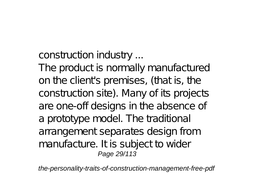## *construction industry ...*

The product is normally manufactured on the client's premises, (that is, the construction site). Many of its projects are one-off designs in the absence of a prototype model. The traditional arrangement separates design from manufacture. It is subject to wider Page 29/113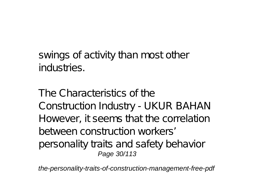## swings of activity than most other industries.

*The Characteristics of the Construction Industry - UKUR BAHAN* However, it seems that the correlation between construction workers' personality traits and safety behavior Page 30/113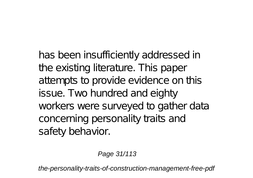has been insufficiently addressed in the existing literature. This paper attempts to provide evidence on this issue. Two hundred and eighty workers were surveyed to gather data concerning personality traits and safety behavior.

Page 31/113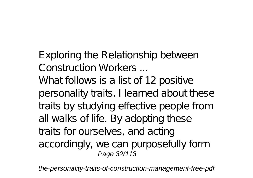*Exploring the Relationship between Construction Workers ...* What follows is a list of 12 positive personality traits. I learned about these traits by studying effective people from all walks of life. By adopting these traits for ourselves, and acting accordingly, we can purposefully form Page 32/113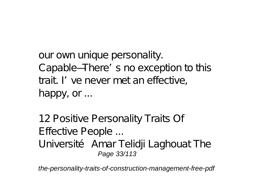our own unique personality. Capable—There's no exception to this trait. I've never met an effective, happy, or ...

*12 Positive Personality Traits Of Effective People ...* Université Amar Telidji Laghouat The Page 33/113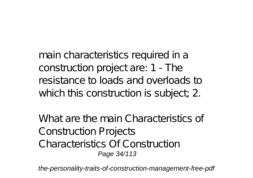main characteristics required in a construction project are: 1 - The resistance to loads and overloads to which this construction is subject 2.

*What are the main Characteristics of Construction Projects* Characteristics Of Construction Page 34/113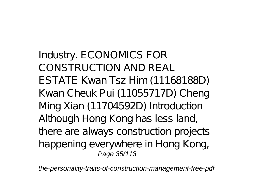Industry. ECONOMICS FOR CONSTRUCTION AND REAL ESTATE Kwan Tsz Him (11168188D) Kwan Cheuk Pui (11055717D) Cheng Ming Xian (11704592D) Introduction Although Hong Kong has less land, there are always construction projects happening everywhere in Hong Kong, Page 35/113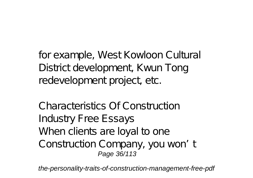for example, West Kowloon Cultural District development, Kwun Tong redevelopment project, etc.

*Characteristics Of Construction Industry Free Essays* When clients are loyal to one Construction Company, you won't Page 36/113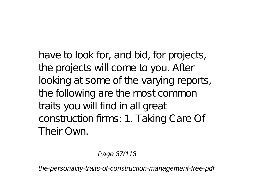have to look for, and bid, for projects, the projects will come to you. After looking at some of the varying reports, the following are the most common traits you will find in all great construction firms: 1. Taking Care Of Their Own.

#### Page 37/113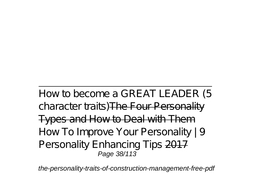How to become a GREAT LEADER (5 character traits) The Four Personality Types and How to Deal with Them *How To Improve Your Personality | 9 Personality Enhancing Tips* 2017 Page 38/113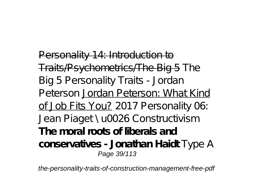Personality 14: Introduction to Traits/Psychometrics/The Big 5 *The Big 5 Personality Traits - Jordan Peterson* Jordan Peterson: What Kind of Job Fits You? *2017 Personality 06: Jean Piaget \u0026 Constructivism* **The moral roots of liberals and conservatives - Jonathan Haidt** *Type A* Page 39/113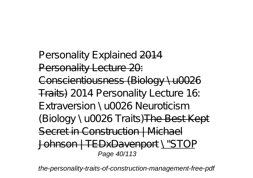*Personality Explained* 2014 Personality Lecture 20: Conscientiousness (Biology \u0026 Traits) *2014 Personality Lecture 16: Extraversion \u0026 Neuroticism (Biology \u0026 Traits)*The Best Kept Secret in Construction | Michael Johnson | TEDxDavenport \"STOP Page 40/113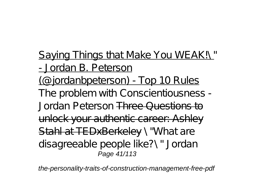Saying Things that Make You WEAK!\" - Jordan B. Peterson (@jordanbpeterson) - Top 10 Rules *The problem with Conscientiousness - Jordan Peterson* Three Questions to unlock your authentic career: Ashley Stahl at TED x Berkeley \"What are disagreeable people like?\" Jordan Page 41/113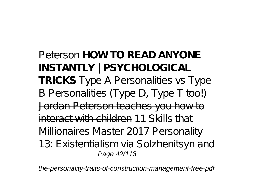Peterson **HOW TO READ ANYONE INSTANTLY | PSYCHOLOGICAL TRICKS** *Type A Personalities vs Type B Personalities (Type D, Type T too!)* Jordan Peterson teaches you how to interact with children 11 Skills that Millionaires Master 2017 Personality 13: Existentialism via Solzhenitsyn and Page 42/113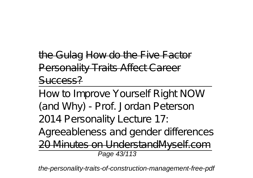the Gulag How do the Five Factor Personality Traits Affect Career Success?

How to Improve Yourself Right NOW (and Why) - Prof. Jordan Peterson *2014 Personality Lecture 17: Agreeableness and gender differences*

20 Minutes on UnderstandMyself.com Page 43/113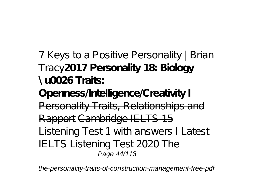- 7 Keys to a Positive Personality | Brian Tracy**2017 Personality 18: Biology \u0026 Traits:**
- **Openness/Intelligence/Creativity I** Personality Traits, Relationships and Rapport Cambridge IELTS 15 Listening Test 1 with answers I Latest IELTS Listening Test 2020 *The* Page 44/113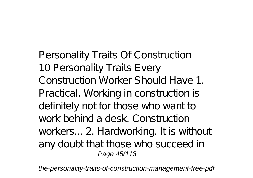*Personality Traits Of Construction* 10 Personality Traits Every Construction Worker Should Have 1. Practical. Working in construction is definitely not for those who want to work behind a desk. Construction workers... 2. Hardworking. It is without any doubt that those who succeed in Page 45/113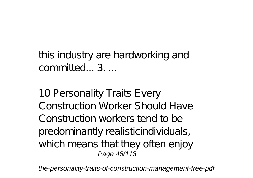this industry are hardworking and committed... 3. ...

*10 Personality Traits Every Construction Worker Should Have* Construction workers tend to be predominantly realisticindividuals, which means that they often enjoy Page 46/113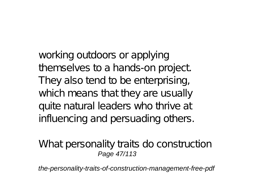working outdoors or applying themselves to a hands-on project. They also tend to be enterprising, which means that they are usually quite natural leaders who thrive at influencing and persuading others.

*What personality traits do construction* Page 47/113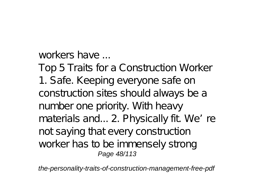#### *workers have ...*

Top 5 Traits for a Construction Worker 1. Safe. Keeping everyone safe on construction sites should always be a number one priority. With heavy materials and... 2. Physically fit. We're not saying that every construction worker has to be immensely strong Page 48/113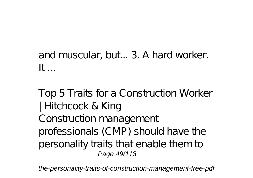# and muscular, but... 3. A hard worker.  $It...$

## *Top 5 Traits for a Construction Worker | Hitchcock & King* Construction management professionals (CMP) should have the personality traits that enable them to Page 49/113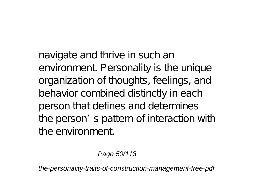navigate and thrive in such an environment. Personality is the unique organization of thoughts, feelings, and behavior combined distinctly in each person that defines and determines the person's pattern of interaction with the environment.

Page 50/113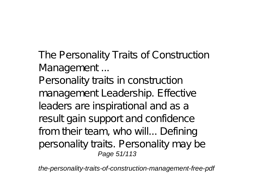*The Personality Traits of Construction Management ...*

Personality traits in construction management Leadership. Effective leaders are inspirational and as a result gain support and confidence from their team, who will... Defining personality traits. Personality may be Page 51/113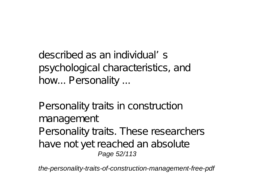described as an individual's psychological characteristics, and how... Personality ...

*Personality traits in construction management* Personality traits. These researchers have not yet reached an absolute Page 52/113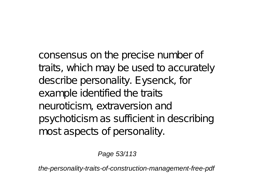consensus on the precise number of traits, which may be used to accurately describe personality. Eysenck, for example identified the traits neuroticism, extraversion and psychoticism as sufficient in describing most aspects of personality.

Page 53/113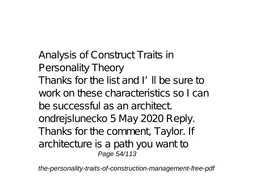*Analysis of Construct Traits in Personality Theory* Thanks for the list and I'll be sure to work on these characteristics so I can be successful as an architect. ondrejslunecko 5 May 2020 Reply. Thanks for the comment, Taylor. If architecture is a path you want to Page 54/113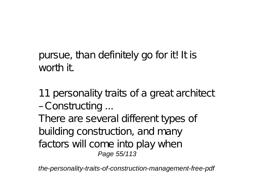# pursue, than definitely go for it! It is worth it

*11 personality traits of a great architect – Constructing ...*

There are several different types of building construction, and many factors will come into play when Page 55/113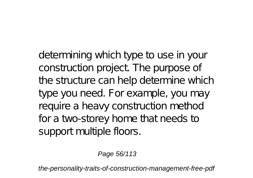determining which type to use in your construction project. The purpose of the structure can help determine which type you need. For example, you may require a heavy construction method for a two-storey home that needs to support multiple floors.

Page 56/113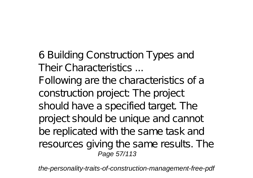*6 Building Construction Types and Their Characteristics ...*

Following are the characteristics of a construction project. The project should have a specified target. The project should be unique and cannot be replicated with the same task and resources giving the same results. The Page 57/113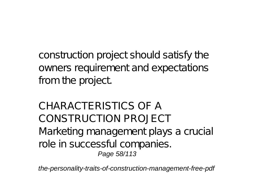construction project should satisfy the owners requirement and expectations from the project.

*CHARACTERISTICS OF A CONSTRUCTION PROJECT* Marketing management plays a crucial role in successful companies. Page 58/113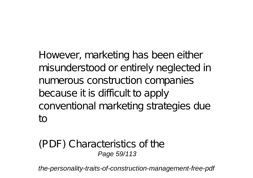However, marketing has been either misunderstood or entirely neglected in numerous construction companies because it is difficult to apply conventional marketing strategies due to

*(PDF) Characteristics of the* Page 59/113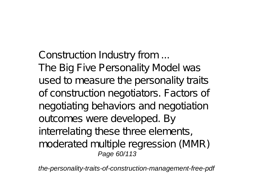*Construction Industry from ...* The Big Five Personality Model was used to measure the personality traits of construction negotiators. Factors of negotiating behaviors and negotiation outcomes were developed. By interrelating these three elements, moderated multiple regression (MMR) Page 60/113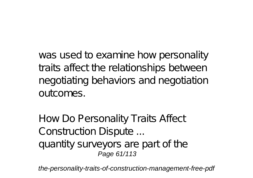was used to examine how personality traits affect the relationships between negotiating behaviors and negotiation outcomes.

*How Do Personality Traits Affect Construction Dispute ...* quantity surveyors are part of the Page 61/113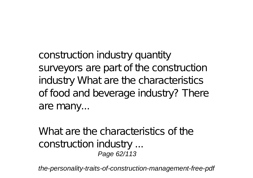construction industry quantity surveyors are part of the construction industry What are the characteristics of food and beverage industry? There are many...

*What are the characteristics of the construction industry ...* Page 62/113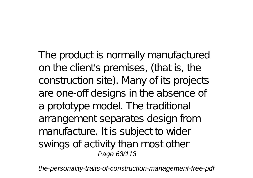The product is normally manufactured on the client's premises, (that is, the construction site). Many of its projects are one-off designs in the absence of a prototype model. The traditional arrangement separates design from manufacture. It is subject to wider swings of activity than most other Page 63/113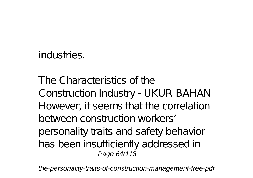industries.

*The Characteristics of the Construction Industry - UKUR BAHAN* However, it seems that the correlation between construction workers' personality traits and safety behavior has been insufficiently addressed in Page 64/113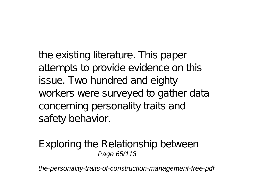the existing literature. This paper attempts to provide evidence on this issue. Two hundred and eighty workers were surveyed to gather data concerning personality traits and safety behavior.

*Exploring the Relationship between* Page 65/113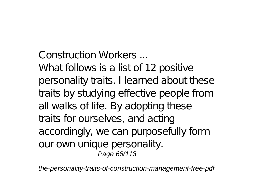### *Construction Workers ...*

What follows is a list of 12 positive personality traits. I learned about these traits by studying effective people from all walks of life. By adopting these traits for ourselves, and acting accordingly, we can purposefully form our own unique personality. Page 66/113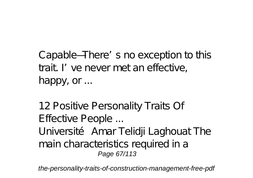Capable—There's no exception to this trait. I've never met an effective, happy, or ...

*12 Positive Personality Traits Of Effective People ...*

Université Amar Telidji Laghouat The main characteristics required in a Page 67/113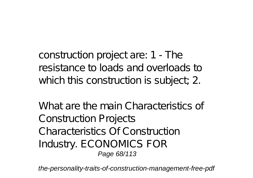construction project are: 1 - The resistance to loads and overloads to which this construction is subject 2.

*What are the main Characteristics of Construction Projects* Characteristics Of Construction Industry. ECONOMICS FOR Page 68/113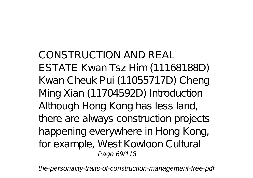CONSTRUCTION AND REAL ESTATE Kwan Tsz Him (11168188D) Kwan Cheuk Pui (11055717D) Cheng Ming Xian (11704592D) Introduction Although Hong Kong has less land, there are always construction projects happening everywhere in Hong Kong, for example, West Kowloon Cultural Page 69/113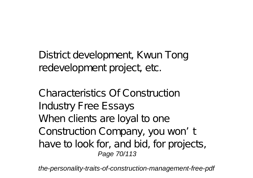District development, Kwun Tong redevelopment project, etc.

*Characteristics Of Construction Industry Free Essays* When clients are loyal to one Construction Company, you won't have to look for, and bid, for projects, Page 70/113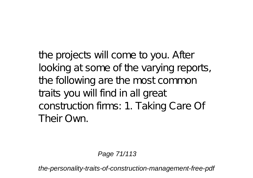the projects will come to you. After looking at some of the varying reports, the following are the most common traits you will find in all great construction firms: 1. Taking Care Of Their Own.

Page 71/113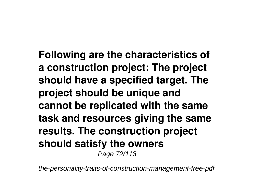**Following are the characteristics of a construction project: The project should have a specified target. The project should be unique and cannot be replicated with the same task and resources giving the same results. The construction project should satisfy the owners** Page 72/113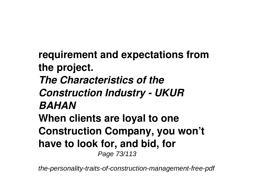**requirement and expectations from the project.** *The Characteristics of the Construction Industry - UKUR BAHAN* **When clients are loyal to one Construction Company, you won't have to look for, and bid, for** Page 73/113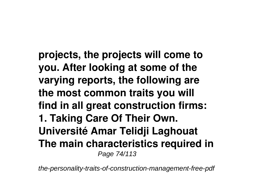**projects, the projects will come to you. After looking at some of the varying reports, the following are the most common traits you will find in all great construction firms: 1. Taking Care Of Their Own. Université Amar Telidji Laghouat The main characteristics required in** Page 74/113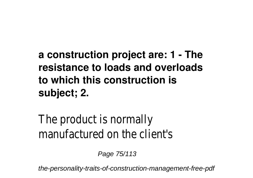#### **a construction project are: 1 - The resistance to loads and overloads to which this construction is subject; 2.**

The product is normally manufactured on the client's

Page 75/113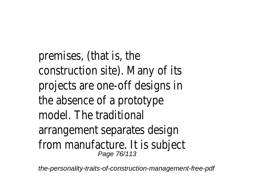premises, (that is, the construction site). Many of it projects are one-off designs in the absence of a prototype model. The traditional arrangement separates design from manufacture. It is subjed Page 76/113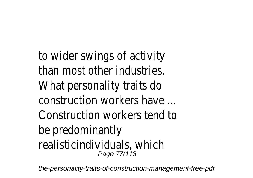to wider swings of activity than most other industries. What personality traits do construction workers have ... Construction workers tend to be predominantly realisticindividuals, which Page 77/113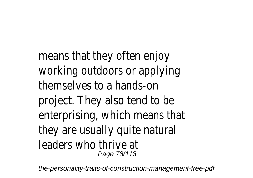means that they often enjoy working outdoors or applying themselves to a hands-on project. They also tend to be enterprising, which means that they are usually quite natural leaders who thrive at Page 78/113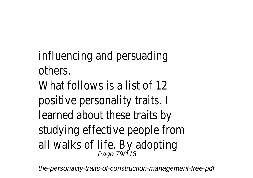influencing and persuading others. What follows is a list of 12 positive personality traits. learned about these traits by studying effective people from all walks of life. By adopting Page 79/113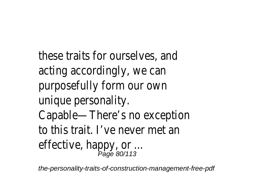these traits for ourselves, and acting accordingly, we can purposefully form our own unique personality. Capable—There's no exception to this trait. I've never met an effective, happy, or ...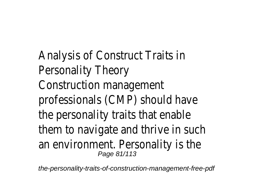Analysis of Construct Traits in Personality Theory Construction management professionals (CMP) should ha the personality traits that ena them to navigate and thrive in an environment. Personality is Page 81/113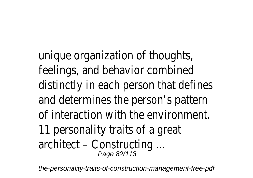unique organization of though feelings, and behavior combine distinctly in each person that and determines the person's pattern of interaction with the enviro 11 personality traits of a great architect – Constructing ... Page 82/113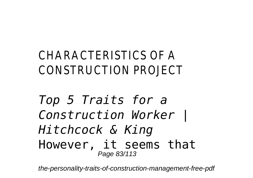# CHARACTERISTICS OF A CONSTRUCTION PROJECT

*Top 5 Traits for a Construction Worker | Hitchcock & King* However, it seems that Page 83/113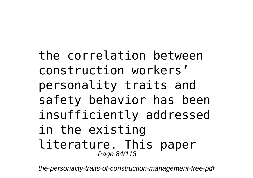the correlation between construction workers' personality traits and safety behavior has been insufficiently addressed in the existing literature. This paper Page 84/113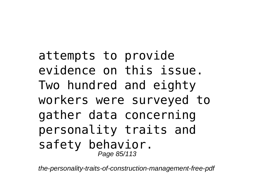attempts to provide evidence on this issue. Two hundred and eighty workers were surveyed to gather data concerning personality traits and safety behavior. Page 85/113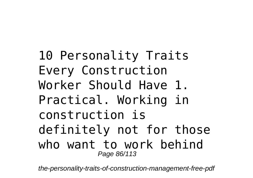10 Personality Traits Every Construction Worker Should Have 1. Practical. Working in construction is definitely not for those who want to work behind Page 86/113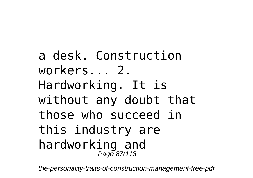a desk. Construction workers... 2. Hardworking. It is without any doubt that those who succeed in this industry are hardworking and Page 87/113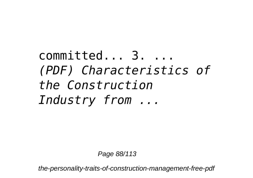# committed... 3. ... *(PDF) Characteristics of the Construction Industry from ...*

Page 88/113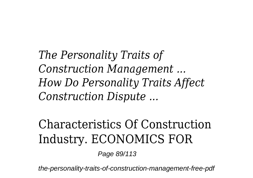*The Personality Traits of Construction Management ... How Do Personality Traits Affect Construction Dispute ...*

# Characteristics Of Construction Industry. ECONOMICS FOR

Page 89/113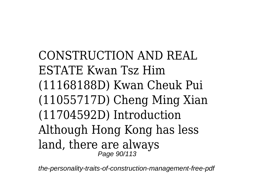CONSTRUCTION AND REAL ESTATE Kwan Tsz Him (11168188D) Kwan Cheuk Pui (11055717D) Cheng Ming Xian (11704592D) Introduction Although Hong Kong has less land, there are always Page 90/113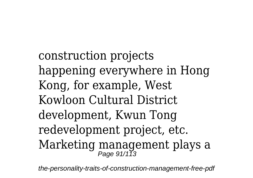construction projects happening everywhere in Hong Kong, for example, West Kowloon Cultural District development, Kwun Tong redevelopment project, etc. Marketing management plays a<br>*Page 91/113*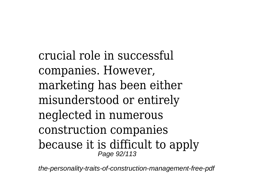crucial role in successful companies. However, marketing has been either misunderstood or entirely neglected in numerous construction companies because it is difficult to apply Page 92/113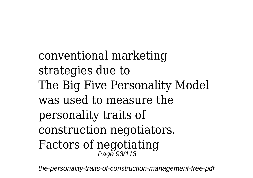conventional marketing strategies due to The Big Five Personality Model was used to measure the personality traits of construction negotiators. Factors of negotiating Page 93/113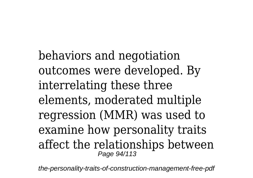behaviors and negotiation outcomes were developed. By interrelating these three elements, moderated multiple regression (MMR) was used to examine how personality traits affect the relationships between Page 94/113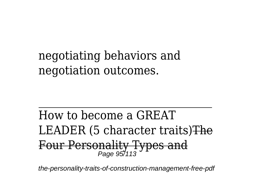## negotiating behaviors and negotiation outcomes.

#### How to become a GREAT LEADER (5 character traits) The Four Personality Types and Page 95/113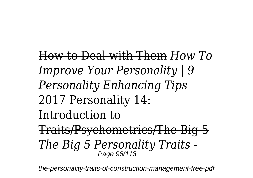How to Deal with Them *How To Improve Your Personality | 9 Personality Enhancing Tips* 2017 Personality 14: Introduction to Traits/Psychometrics/The Big 5 *The Big 5 Personality Traits -* Page 96/113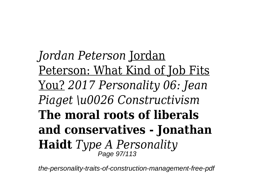*Jordan Peterson* Jordan Peterson: What Kind of Job Fits You? *2017 Personality 06: Jean Piaget \u0026 Constructivism* **The moral roots of liberals and conservatives - Jonathan Haidt** *Type A Personality* Page 97/113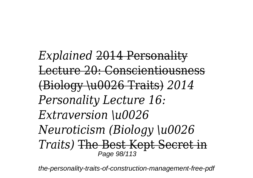*Explained* 2014 Personality Lecture 20: Conscientiousness (Biology \u0026 Traits) *2014 Personality Lecture 16: Extraversion \u0026 Neuroticism (Biology \u0026 Traits)* The Best Kept Secret in Page 98/113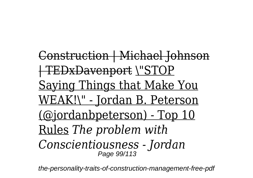Construction | Michael Johnson | TEDxDavenport \"STOP Saying Things that Make You WEAK!\" - Jordan B. Peterson (@jordanbpeterson) - Top 10 Rules *The problem with Conscientiousness - Jordan* Page 99/113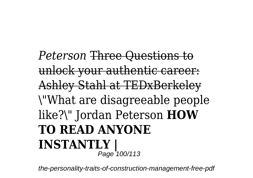*Peterson* Three Questions to unlock your authentic career: Ashley Stahl at TEDxBerkeley \"What are disagreeable people like?\" Jordan Peterson **HOW TO READ ANYONE INSTANTLY |** Page 100/113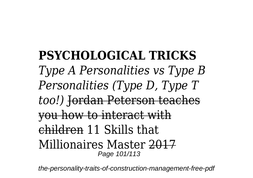**PSYCHOLOGICAL TRICKS** *Type A Personalities vs Type B Personalities (Type D, Type T too!)* Jordan Peterson teaches you how to interact with children 11 Skills that Millionaires Master 2017 Page 101/113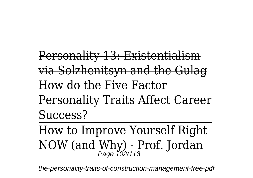Personality 13: Existentialism via Solzhenitsyn and the Gulag How do the Five Factor Personality Traits Affect Career Success?

How to Improve Yourself Right NOW (and Why) - Prof. Jordan Page 102/113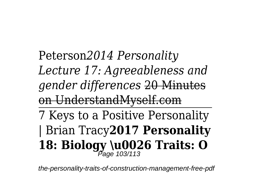Peterson*2014 Personality Lecture 17: Agreeableness and gender differences* 20 Minutes on UnderstandMyself.com 7 Keys to a Positive Personality | Brian Tracy**2017 Personality 18: Biology \u0026 Traits: O**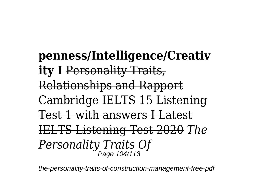**penness/Intelligence/Creativ ity I** Personality Traits, Relationships and Rapport Cambridge IELTS 15 Listening Test 1 with answers I Latest IELTS Listening Test 2020 *The Personality Traits Of* Page 104/113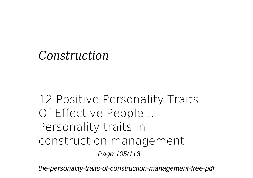### *Construction*

### *12 Positive Personality Traits Of Effective People ...* Personality traits in construction management Page 105/113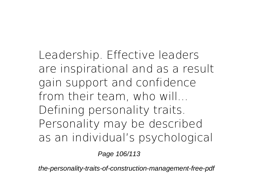Leadership. Effective leaders are inspirational and as a result gain support and confidence from their team, who will... Defining personality traits. Personality may be described as an individual's psychological

Page 106/113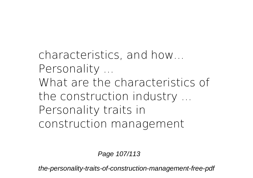characteristics, and how... Personality ... *What are the characteristics of the construction industry ... Personality traits in construction management*

Page 107/113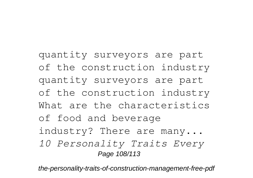quantity surveyors are part of the construction industry quantity surveyors are part of the construction industry What are the characteristics of food and beverage industry? There are many... *10 Personality Traits Every* Page 108/113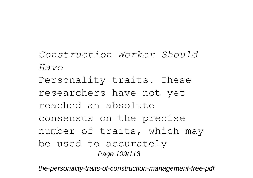*Construction Worker Should Have* Personality traits. These researchers have not yet reached an absolute consensus on the precise number of traits, which may be used to accurately Page 109/113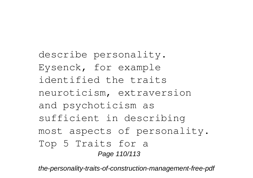describe personality. Eysenck, for example identified the traits neuroticism, extraversion and psychoticism as sufficient in describing most aspects of personality. Top 5 Traits for a Page 110/113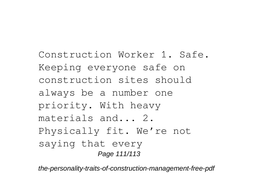Construction Worker 1. Safe. Keeping everyone safe on construction sites should always be a number one priority. With heavy materials and... 2. Physically fit. We're not saying that every Page 111/113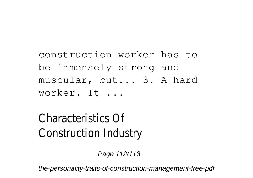construction worker has to be immensely strong and muscular, but... 3. A hard worker. It ...

Characteristics Of Construction Industry

Page 112/113